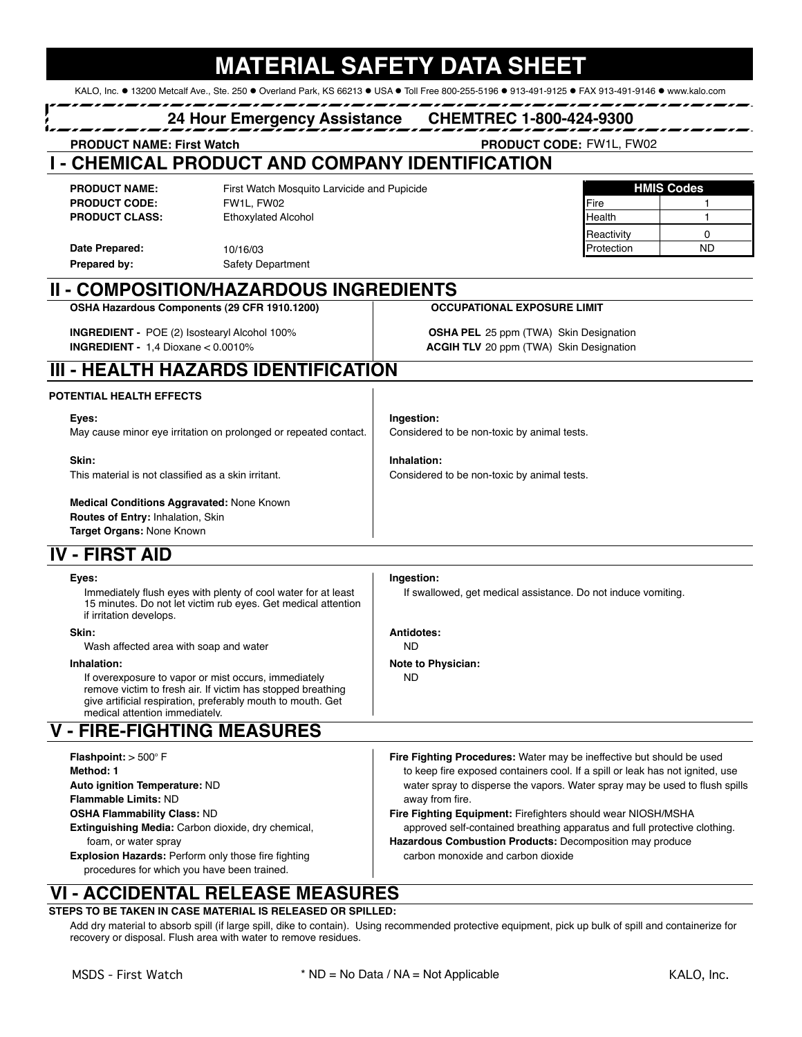| <b>24 Hour Emergency Assistance</b>                                                                                                                                                     |                                                                                                                                                                                                                      |           | <b>CHEMTREC 1-800-424-9300</b>                                                                                                        |                                         |                   |                                    |
|-----------------------------------------------------------------------------------------------------------------------------------------------------------------------------------------|----------------------------------------------------------------------------------------------------------------------------------------------------------------------------------------------------------------------|-----------|---------------------------------------------------------------------------------------------------------------------------------------|-----------------------------------------|-------------------|------------------------------------|
| <b>PRODUCT NAME: First Watch</b>                                                                                                                                                        |                                                                                                                                                                                                                      |           | <b>PRODUCT CODE: FW1L, FW02</b>                                                                                                       |                                         |                   |                                    |
|                                                                                                                                                                                         | - CHEMICAL PRODUCT AND COMPANY IDENTIFICATION                                                                                                                                                                        |           |                                                                                                                                       |                                         |                   |                                    |
| <b>PRODUCT NAME:</b>                                                                                                                                                                    | First Watch Mosquito Larvicide and Pupicide                                                                                                                                                                          |           |                                                                                                                                       |                                         | <b>HMIS Codes</b> |                                    |
| <b>PRODUCT CODE:</b>                                                                                                                                                                    | FW1L, FW02                                                                                                                                                                                                           |           |                                                                                                                                       | Fire                                    | 1                 |                                    |
| <b>PRODUCT CLASS:</b>                                                                                                                                                                   | <b>Ethoxylated Alcohol</b>                                                                                                                                                                                           |           |                                                                                                                                       | Health                                  | $\mathbf{1}$      |                                    |
|                                                                                                                                                                                         |                                                                                                                                                                                                                      |           |                                                                                                                                       | Reactivity                              | 0                 |                                    |
| Date Prepared:                                                                                                                                                                          | 10/16/03                                                                                                                                                                                                             |           |                                                                                                                                       | Protection                              | <b>ND</b>         |                                    |
| Prepared by:                                                                                                                                                                            | <b>Safety Department</b>                                                                                                                                                                                             |           |                                                                                                                                       |                                         |                   |                                    |
|                                                                                                                                                                                         | <b>II - COMPOSITION/HAZARDOUS INGREDIENTS</b>                                                                                                                                                                        |           |                                                                                                                                       |                                         |                   |                                    |
|                                                                                                                                                                                         | OSHA Hazardous Components (29 CFR 1910.1200)                                                                                                                                                                         |           | <b>OCCUPATIONAL EXPOSURE LIMIT</b>                                                                                                    |                                         |                   |                                    |
|                                                                                                                                                                                         | <b>INGREDIENT - POE (2) Isostearyl Alcohol 100%</b>                                                                                                                                                                  |           |                                                                                                                                       |                                         |                   |                                    |
|                                                                                                                                                                                         | <b>INGREDIENT - 1,4 Dioxane &lt; <math>0.0010\%</math></b>                                                                                                                                                           |           | <b>OSHA PEL</b> 25 ppm (TWA) Skin Designation<br><b>ACGIH TLV</b> 20 ppm (TWA) Skin Designation                                       |                                         |                   |                                    |
|                                                                                                                                                                                         |                                                                                                                                                                                                                      |           |                                                                                                                                       |                                         |                   |                                    |
|                                                                                                                                                                                         | III - HEALTH HAZARDS IDENTIFICATION                                                                                                                                                                                  |           |                                                                                                                                       |                                         |                   |                                    |
| POTENTIAL HEALTH EFFECTS                                                                                                                                                                |                                                                                                                                                                                                                      |           |                                                                                                                                       |                                         |                   |                                    |
| Eyes:                                                                                                                                                                                   |                                                                                                                                                                                                                      |           | Ingestion:                                                                                                                            |                                         |                   |                                    |
|                                                                                                                                                                                         | May cause minor eye irritation on prolonged or repeated contact.                                                                                                                                                     |           | Considered to be non-toxic by animal tests.                                                                                           |                                         |                   |                                    |
|                                                                                                                                                                                         |                                                                                                                                                                                                                      |           |                                                                                                                                       |                                         |                   |                                    |
| Skin:                                                                                                                                                                                   |                                                                                                                                                                                                                      |           | Inhalation:                                                                                                                           |                                         |                   |                                    |
|                                                                                                                                                                                         | This material is not classified as a skin irritant.                                                                                                                                                                  |           | Considered to be non-toxic by animal tests.                                                                                           |                                         |                   |                                    |
|                                                                                                                                                                                         | Medical Conditions Aggravated: None Known<br>Routes of Entry: Inhalation, Skin<br>Target Organs: None Known                                                                                                          |           |                                                                                                                                       |                                         |                   |                                    |
| <b>IV - FIRST AID</b>                                                                                                                                                                   |                                                                                                                                                                                                                      |           |                                                                                                                                       |                                         |                   |                                    |
|                                                                                                                                                                                         |                                                                                                                                                                                                                      |           |                                                                                                                                       |                                         |                   |                                    |
| Eyes:<br>Immediately flush eyes with plenty of cool water for at least<br>15 minutes. Do not let victim rub eyes. Get medical attention<br>if irritation develops.                      |                                                                                                                                                                                                                      |           | Ingestion:<br>If swallowed, get medical assistance. Do not induce vomiting.                                                           |                                         |                   |                                    |
| Skin:                                                                                                                                                                                   |                                                                                                                                                                                                                      |           | Antidotes:                                                                                                                            |                                         |                   |                                    |
|                                                                                                                                                                                         | Wash affected area with soap and water                                                                                                                                                                               | <b>ND</b> |                                                                                                                                       |                                         |                   |                                    |
| Inhalation:                                                                                                                                                                             |                                                                                                                                                                                                                      |           | Note to Physician:                                                                                                                    |                                         |                   |                                    |
|                                                                                                                                                                                         | If overexposure to vapor or mist occurs, immediately<br>remove victim to fresh air. If victim has stopped breathing<br>give artificial respiration, preferably mouth to mouth. Get<br>medical attention immediately. | <b>ND</b> |                                                                                                                                       |                                         |                   |                                    |
|                                                                                                                                                                                         | <b>V - FIRE-FIGHTING MEASURES</b>                                                                                                                                                                                    |           |                                                                                                                                       |                                         |                   |                                    |
| <b>Flashpoint:</b> $> 500^\circ$ F                                                                                                                                                      |                                                                                                                                                                                                                      |           | Fire Fighting Procedures: Water may be ineffective but should be used                                                                 |                                         |                   |                                    |
| Method: 1                                                                                                                                                                               |                                                                                                                                                                                                                      |           | to keep fire exposed containers cool. If a spill or leak has not ignited, use                                                         |                                         |                   |                                    |
| Auto ignition Temperature: ND                                                                                                                                                           |                                                                                                                                                                                                                      |           | water spray to disperse the vapors. Water spray may be used to flush spills                                                           |                                         |                   |                                    |
| <b>Flammable Limits: ND</b>                                                                                                                                                             |                                                                                                                                                                                                                      |           | away from fire.                                                                                                                       |                                         |                   |                                    |
| <b>OSHA Flammability Class: ND</b>                                                                                                                                                      |                                                                                                                                                                                                                      |           | Fire Fighting Equipment: Firefighters should wear NIOSH/MSHA                                                                          |                                         |                   |                                    |
| Extinguishing Media: Carbon dioxide, dry chemical,<br>foam, or water spray<br><b>Explosion Hazards: Perform only those fire fighting</b><br>procedures for which you have been trained. |                                                                                                                                                                                                                      |           | approved self-contained breathing apparatus and full protective clothing.<br>Hazardous Combustion Products: Decomposition may produce |                                         |                   |                                    |
|                                                                                                                                                                                         |                                                                                                                                                                                                                      |           |                                                                                                                                       |                                         |                   | carbon monoxide and carbon dioxide |
|                                                                                                                                                                                         |                                                                                                                                                                                                                      |           |                                                                                                                                       | <b>VI - ACCIDENTAL RELEASE MEASURES</b> |                   |                                    |

**MATERIAL SAFETY DATA SHEET**

## **STEPS TO BE TAKEN IN CASE MATERIAL IS RELEASED OR SPILLED:**

Add dry material to absorb spill (if large spill, dike to contain). Using recommended protective equipment, pick up bulk of spill and containerize for recovery or disposal. Flush area with water to remove residues.